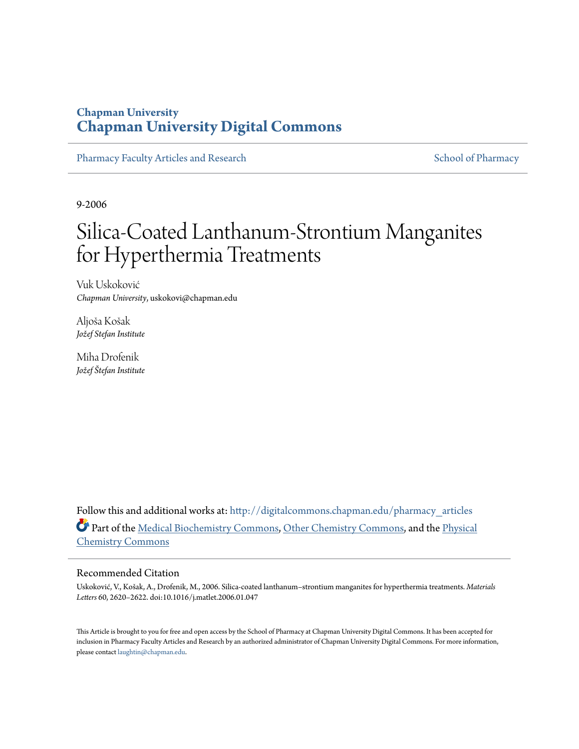# **Chapman University [Chapman University Digital Commons](http://digitalcommons.chapman.edu?utm_source=digitalcommons.chapman.edu%2Fpharmacy_articles%2F324&utm_medium=PDF&utm_campaign=PDFCoverPages)**

[Pharmacy Faculty Articles and Research](http://digitalcommons.chapman.edu/pharmacy_articles?utm_source=digitalcommons.chapman.edu%2Fpharmacy_articles%2F324&utm_medium=PDF&utm_campaign=PDFCoverPages) [School of Pharmacy](http://digitalcommons.chapman.edu/cusp?utm_source=digitalcommons.chapman.edu%2Fpharmacy_articles%2F324&utm_medium=PDF&utm_campaign=PDFCoverPages)

9-2006

# Silica-Coated Lanthanum-Strontium Manganites for Hyperthermia Treatments

Vuk Uskoković *Chapman University*, uskokovi@chapman.edu

Aljoša Košak *Jožef Stefan Institute*

Miha Drofenik *Jožef Štefan Institute*

Follow this and additional works at: [http://digitalcommons.chapman.edu/pharmacy\\_articles](http://digitalcommons.chapman.edu/pharmacy_articles?utm_source=digitalcommons.chapman.edu%2Fpharmacy_articles%2F324&utm_medium=PDF&utm_campaign=PDFCoverPages) Part of the [Medical Biochemistry Commons,](http://network.bepress.com/hgg/discipline/666?utm_source=digitalcommons.chapman.edu%2Fpharmacy_articles%2F324&utm_medium=PDF&utm_campaign=PDFCoverPages) [Other Chemistry Commons](http://network.bepress.com/hgg/discipline/141?utm_source=digitalcommons.chapman.edu%2Fpharmacy_articles%2F324&utm_medium=PDF&utm_campaign=PDFCoverPages), and the [Physical](http://network.bepress.com/hgg/discipline/139?utm_source=digitalcommons.chapman.edu%2Fpharmacy_articles%2F324&utm_medium=PDF&utm_campaign=PDFCoverPages) [Chemistry Commons](http://network.bepress.com/hgg/discipline/139?utm_source=digitalcommons.chapman.edu%2Fpharmacy_articles%2F324&utm_medium=PDF&utm_campaign=PDFCoverPages)

#### Recommended Citation

Uskoković, V., Košak, A., Drofenik, M., 2006. Silica-coated lanthanum–strontium manganites for hyperthermia treatments. *Materials Letters* 60, 2620–2622. doi:10.1016/j.matlet.2006.01.047

This Article is brought to you for free and open access by the School of Pharmacy at Chapman University Digital Commons. It has been accepted for inclusion in Pharmacy Faculty Articles and Research by an authorized administrator of Chapman University Digital Commons. For more information, please contact [laughtin@chapman.edu.](mailto:laughtin@chapman.edu)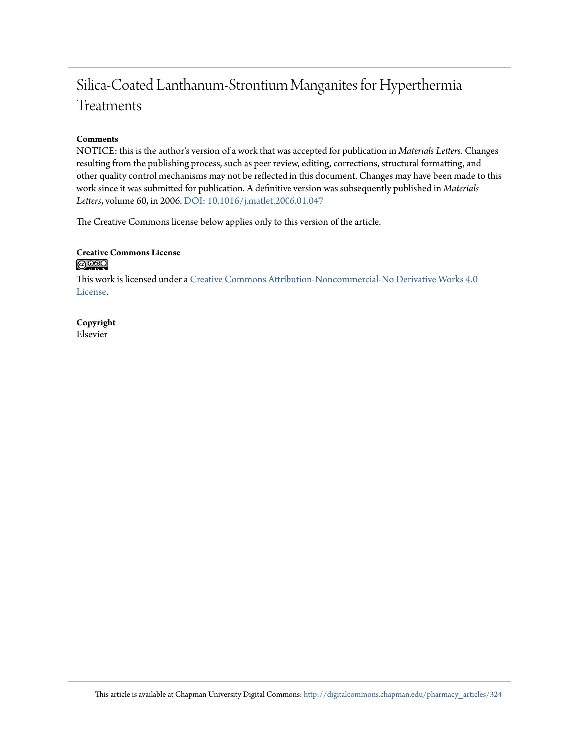# Silica-Coated Lanthanum-Strontium Manganites for Hyperthermia Treatments

#### **Comments**

NOTICE: this is the author's version of a work that was accepted for publication in *Materials Letters*. Changes resulting from the publishing process, such as peer review, editing, corrections, structural formatting, and other quality control mechanisms may not be reflected in this document. Changes may have been made to this work since it was submitted for publication. A definitive version was subsequently published in *Materials Letters*, volume 60, in 2006. [DOI: 10.1016/j.matlet.2006.01.047](http://dx.doi.org/10.1016/j.matlet.2006.01.047)

The Creative Commons license below applies only to this version of the article.

#### **Creative Commons License**  $\bigcirc$   $\circ$

This work is licensed under a [Creative Commons Attribution-Noncommercial-No Derivative Works 4.0](http://creativecommons.org/licenses/by-nc-nd/4.0/) [License.](http://creativecommons.org/licenses/by-nc-nd/4.0/)

**Copyright** Elsevier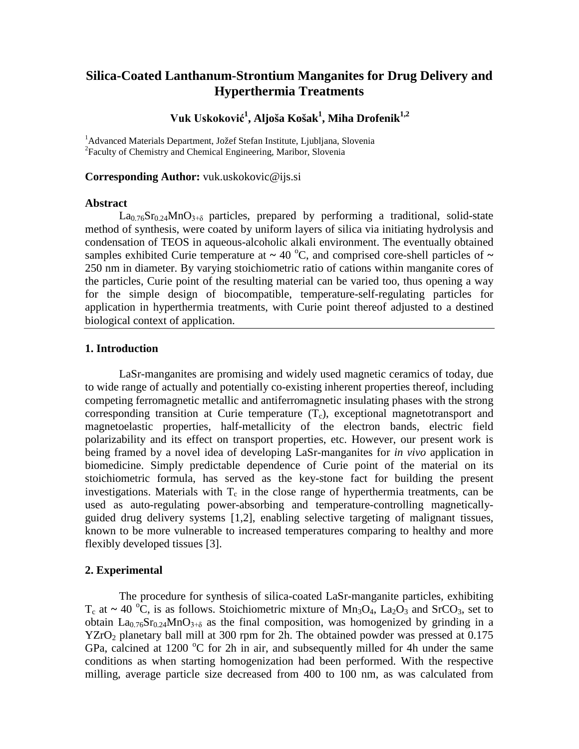## **Silica-Coated Lanthanum-Strontium Manganites for Drug Delivery and Hyperthermia Treatments**

### **Vuk Uskoković<sup>1</sup> , Aljoša Košak<sup>1</sup> , Miha Drofenik1,2**

<sup>1</sup>Advanced Materials Department, Jožef Stefan Institute, Ljubljana, Slovenia 2 Faculty of Chemistry and Chemical Engineering, Maribor, Slovenia

#### **Corresponding Author:** vuk.uskokovic@ijs.si

#### **Abstract**

 $La_{0.76}Sr_{0.24}MnO_{3+\delta}$  particles, prepared by performing a traditional, solid-state method of synthesis, were coated by uniform layers of silica via initiating hydrolysis and condensation of TEOS in aqueous-alcoholic alkali environment. The eventually obtained samples exhibited Curie temperature at  $\sim 40^{\circ}$ C, and comprised core-shell particles of  $\sim$ 250 nm in diameter. By varying stoichiometric ratio of cations within manganite cores of the particles, Curie point of the resulting material can be varied too, thus opening a way for the simple design of biocompatible, temperature-self-regulating particles for application in hyperthermia treatments, with Curie point thereof adjusted to a destined biological context of application.

#### **1. Introduction**

LaSr-manganites are promising and widely used magnetic ceramics of today, due to wide range of actually and potentially co-existing inherent properties thereof, including competing ferromagnetic metallic and antiferromagnetic insulating phases with the strong corresponding transition at Curie temperature  $(T_c)$ , exceptional magnetotransport and magnetoelastic properties, half-metallicity of the electron bands, electric field polarizability and its effect on transport properties, etc. However, our present work is being framed by a novel idea of developing LaSr-manganites for *in vivo* application in biomedicine. Simply predictable dependence of Curie point of the material on its stoichiometric formula, has served as the key-stone fact for building the present investigations. Materials with  $T_c$  in the close range of hyperthermia treatments, can be used as auto-regulating power-absorbing and temperature-controlling magneticallyguided drug delivery systems [1,2], enabling selective targeting of malignant tissues, known to be more vulnerable to increased temperatures comparing to healthy and more flexibly developed tissues [3].

#### **2. Experimental**

The procedure for synthesis of silica-coated LaSr-manganite particles, exhibiting  $T_c$  at  $\sim$  40 <sup>o</sup>C, is as follows. Stoichiometric mixture of Mn<sub>3</sub>O<sub>4</sub>, La<sub>2</sub>O<sub>3</sub> and SrCO<sub>3</sub>, set to obtain  $La<sub>0.76</sub>Sr<sub>0.24</sub>MnO<sub>3+\delta</sub>$  as the final composition, was homogenized by grinding in a  $YZrO<sub>2</sub>$  planetary ball mill at 300 rpm for 2h. The obtained powder was pressed at 0.175 GPa, calcined at 1200  $\rm{^{\circ}C}$  for 2h in air, and subsequently milled for 4h under the same conditions as when starting homogenization had been performed. With the respective milling, average particle size decreased from 400 to 100 nm, as was calculated from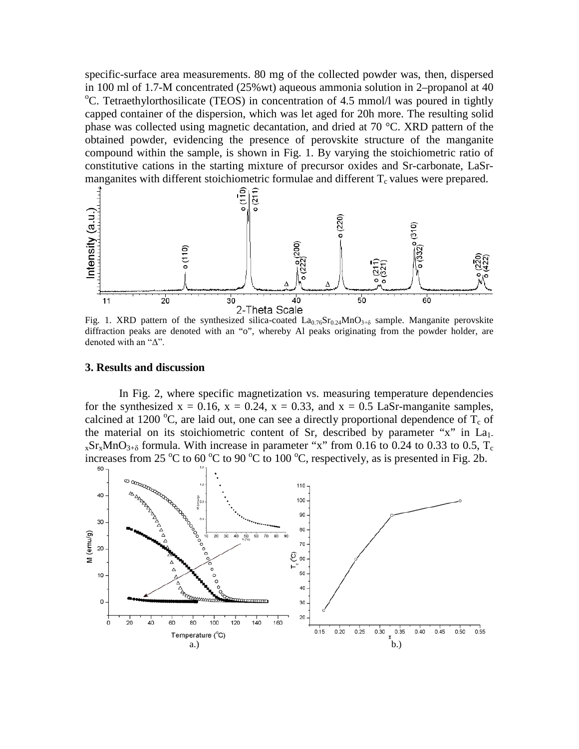specific-surface area measurements. 80 mg of the collected powder was, then, dispersed in 100 ml of 1.7-M concentrated  $(25\% \text{wt})$  aqueous ammonia solution in 2–propanol at 40 C. Tetraethylorthosilicate (TEOS) in concentration of 4.5 mmol/l was poured in tightly capped container of the dispersion, which was let aged for 20h more. The resulting solid phase was collected using magnetic decantation, and dried at 70 °C. XRD pattern of the obtained powder, evidencing the presence of perovskite structure of the manganite compound within the sample, is shown in Fig. 1. By varying the stoichiometric ratio of constitutive cations in the starting mixture of precursor oxides and Sr-carbonate, LaSrmanganites with different stoichiometric formulae and different  $T_c$  values were prepared.



Fig. 1. XRD pattern of the synthesized silica-coated  $La_{0.76}Sr_{0.24}MnO_{3+\delta}$  sample. Manganite perovskite diffraction peaks are denoted with an "o", whereby Al peaks originating from the powder holder, are denoted with an "Δ".

#### **3. Results and discussion**

In Fig. 2, where specific magnetization vs. measuring temperature dependencies for the synthesized  $x = 0.16$ ,  $x = 0.24$ ,  $x = 0.33$ , and  $x = 0.5$  LaSr-manganite samples, calcined at 1200 °C, are laid out, one can see a directly proportional dependence of  $T_c$  of the material on its stoichiometric content of Sr, described by parameter "x" in La<sub>1-</sub>  $_{x}Sr_{x}MnO_{3+\delta}$  formula. With increase in parameter "x" from 0.16 to 0.24 to 0.33 to 0.5, T<sub>c</sub> increases from 25 °C to 60 °C to 90 °C to 100 °C, respectively, as is presented in Fig. 2b.

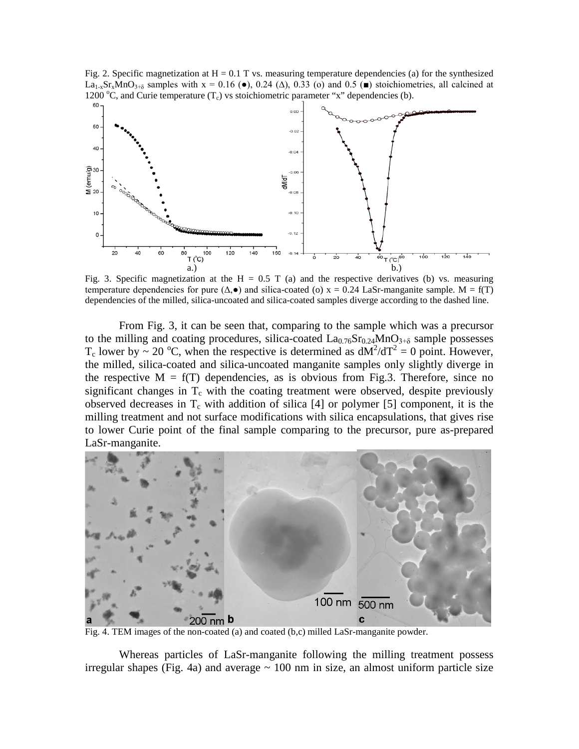Fig. 2. Specific magnetization at  $H = 0.1$  T vs. measuring temperature dependencies (a) for the synthesized La<sub>1-x</sub>Sr<sub>x</sub>MnO<sub>3+ $\delta$ </sub> samples with x = 0.16 ( $\bullet$ ), 0.24 ( $\Delta$ ), 0.33 (o) and 0.5 ( $\bullet$ ) stoichiometries, all calcined at 1200 °C, and Curie temperature  $(T_c)$  vs stoichiometric parameter "x" dependencies (b).



Fig. 3. Specific magnetization at the H = 0.5 T (a) and the respective derivatives (b) vs. measuring temperature dependencies for pure  $(\Delta, \bullet)$  and silica-coated (o)  $x = 0.24$  LaSr-manganite sample. M = f(T) dependencies of the milled, silica-uncoated and silica-coated samples diverge according to the dashed line.

From Fig. 3, it can be seen that, comparing to the sample which was a precursor to the milling and coating procedures, silica-coated  $La_{0.76}Sr_{0.24}MnO_{3+\delta}$  sample possesses T<sub>c</sub> lower by ~ 20 °C, when the respective is determined as  $dM^2/dT^2 = 0$  point. However, the milled, silica-coated and silica-uncoated manganite samples only slightly diverge in the respective  $M = f(T)$  dependencies, as is obvious from Fig.3. Therefore, since no significant changes in  $T_c$  with the coating treatment were observed, despite previously observed decreases in  $T_c$  with addition of silica [4] or polymer [5] component, it is the milling treatment and not surface modifications with silica encapsulations, that gives rise to lower Curie point of the final sample comparing to the precursor, pure as-prepared LaSr-manganite.



Fig. 4. TEM images of the non-coated (a) and coated (b,c) milled LaSr-manganite powder.

Whereas particles of LaSr-manganite following the milling treatment possess irregular shapes (Fig. 4a) and average  $\sim$  100 nm in size, an almost uniform particle size